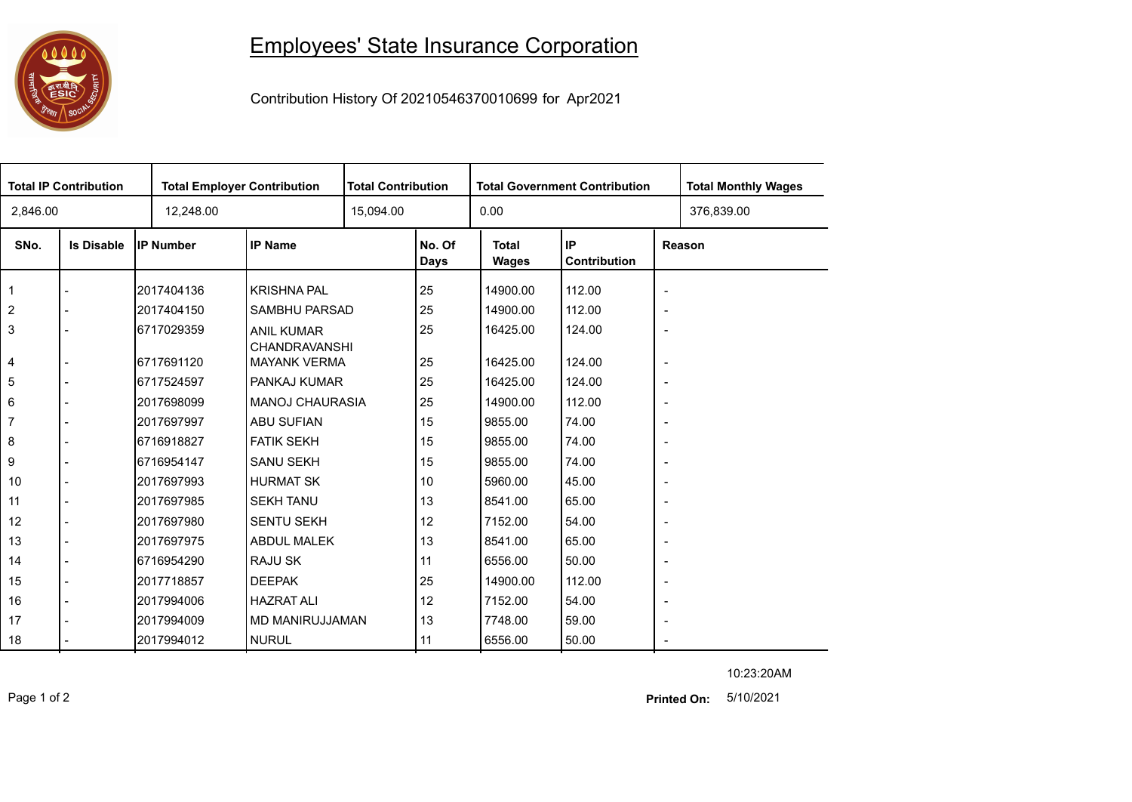## 

## Employees' State Insurance Corporation

Contribution History Of 20210546370010699 for Apr2021

| <b>Total IP Contribution</b> |                   |                  | <b>Total Employer Contribution</b>          |           | <b>Total Contribution</b> |                       | <b>Total Government Contribution</b> | <b>Total Monthly Wages</b> |            |  |
|------------------------------|-------------------|------------------|---------------------------------------------|-----------|---------------------------|-----------------------|--------------------------------------|----------------------------|------------|--|
| 2,846.00                     |                   | 12,248.00        |                                             | 15,094.00 |                           | 0.00                  |                                      |                            | 376,839.00 |  |
| SNo.                         | <b>Is Disable</b> | <b>IP Number</b> | <b>IP Name</b>                              |           | No. Of<br>Days            | <b>Total</b><br>Wages | IP<br>Contribution                   | Reason                     |            |  |
| $\mathbf 1$                  |                   | 2017404136       | <b>KRISHNA PAL</b>                          |           | 25                        | 14900.00              | 112.00                               | $\overline{\phantom{a}}$   |            |  |
| $\overline{2}$               |                   | 2017404150       | SAMBHU PARSAD                               |           | 25                        | 14900.00              | 112.00                               | $\overline{\phantom{a}}$   |            |  |
| 3                            |                   | 6717029359       | <b>ANIL KUMAR</b>                           |           | 25                        | 16425.00              | 124.00                               | $\overline{\phantom{a}}$   |            |  |
| 4                            |                   | 6717691120       | <b>CHANDRAVANSHI</b><br><b>MAYANK VERMA</b> |           | 25                        | 16425.00              | 124.00                               | $\overline{\phantom{a}}$   |            |  |
| 5                            |                   | 6717524597       | PANKAJ KUMAR                                |           | 25                        | 16425.00              | 124.00                               | $\overline{\phantom{a}}$   |            |  |
| 6                            |                   | 2017698099       | <b>MANOJ CHAURASIA</b>                      |           | 25                        | 14900.00              | 112.00                               | $\overline{\phantom{a}}$   |            |  |
| 7                            |                   | 2017697997       | <b>ABU SUFIAN</b>                           |           | 15                        | 9855.00               | 74.00                                | $\overline{\phantom{a}}$   |            |  |
| 8                            |                   | 6716918827       | <b>FATIK SEKH</b>                           |           | 15                        | 9855.00               | 74.00                                | $\overline{\phantom{a}}$   |            |  |
| 9                            |                   | 6716954147       | <b>SANU SEKH</b>                            |           | 15                        | 9855.00               | 74.00                                | $\overline{\phantom{a}}$   |            |  |
| 10                           | $\overline{a}$    | 2017697993       | <b>HURMAT SK</b>                            |           | 10                        | 5960.00               | 45.00                                | $\overline{\phantom{a}}$   |            |  |
| 11                           | $\blacksquare$    | 2017697985       | <b>SEKH TANU</b>                            |           | 13                        | 8541.00               | 65.00                                | $\overline{\phantom{a}}$   |            |  |
| 12                           |                   | 2017697980       | <b>SENTU SEKH</b>                           |           | 12                        | 7152.00               | 54.00                                | $\overline{\phantom{a}}$   |            |  |
| 13                           | $\blacksquare$    | 2017697975       | <b>ABDUL MALEK</b>                          |           | 13                        | 8541.00               | 65.00                                | $\overline{\phantom{a}}$   |            |  |
| 14                           | $\overline{a}$    | 6716954290       | <b>RAJU SK</b>                              |           | 11                        | 6556.00               | 50.00                                | $\blacksquare$             |            |  |
| 15                           | $\blacksquare$    | 2017718857       | <b>DEEPAK</b>                               |           | 25                        | 14900.00              | 112.00                               | $\overline{\phantom{a}}$   |            |  |
| 16                           |                   | 2017994006       | <b>HAZRAT ALI</b>                           |           | 12                        | 7152.00               | 54.00                                | $\overline{\phantom{a}}$   |            |  |
| 17                           |                   | 2017994009       | MD MANIRUJJAMAN                             |           | 13                        | 7748.00               | 59.00                                | $\overline{\phantom{a}}$   |            |  |
| 18                           |                   | 2017994012       | <b>NURUL</b>                                |           | 11                        | 6556.00               | 50.00                                | $\blacksquare$             |            |  |

10:23:20AM